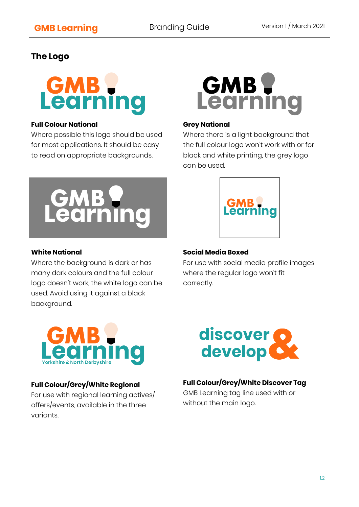# **The Logo**



#### **Full Colour National**

Where possible this logo should be used for most applications. It should be easy to read on appropriate backgrounds.



### **White National**

Where the background is dark or has many dark colours and the full colour logo doesn't work, the white logo can be used. Avoid using it against a black background.



#### **Grey National**

Where there is a light background that the full colour logo won't work with or for black and white printing, the grey logo can be used.



## **Social Media Boxed**

For use with social media profile images where the regular logo won't fit correctly.



## **Full Colour/Grey/White Regional**

For use with regional learning actives/ offers/events, available in the three variants.



## **Full Colour/Grey/White Discover Tag**

GMB Learning tag line used with or without the main logo.